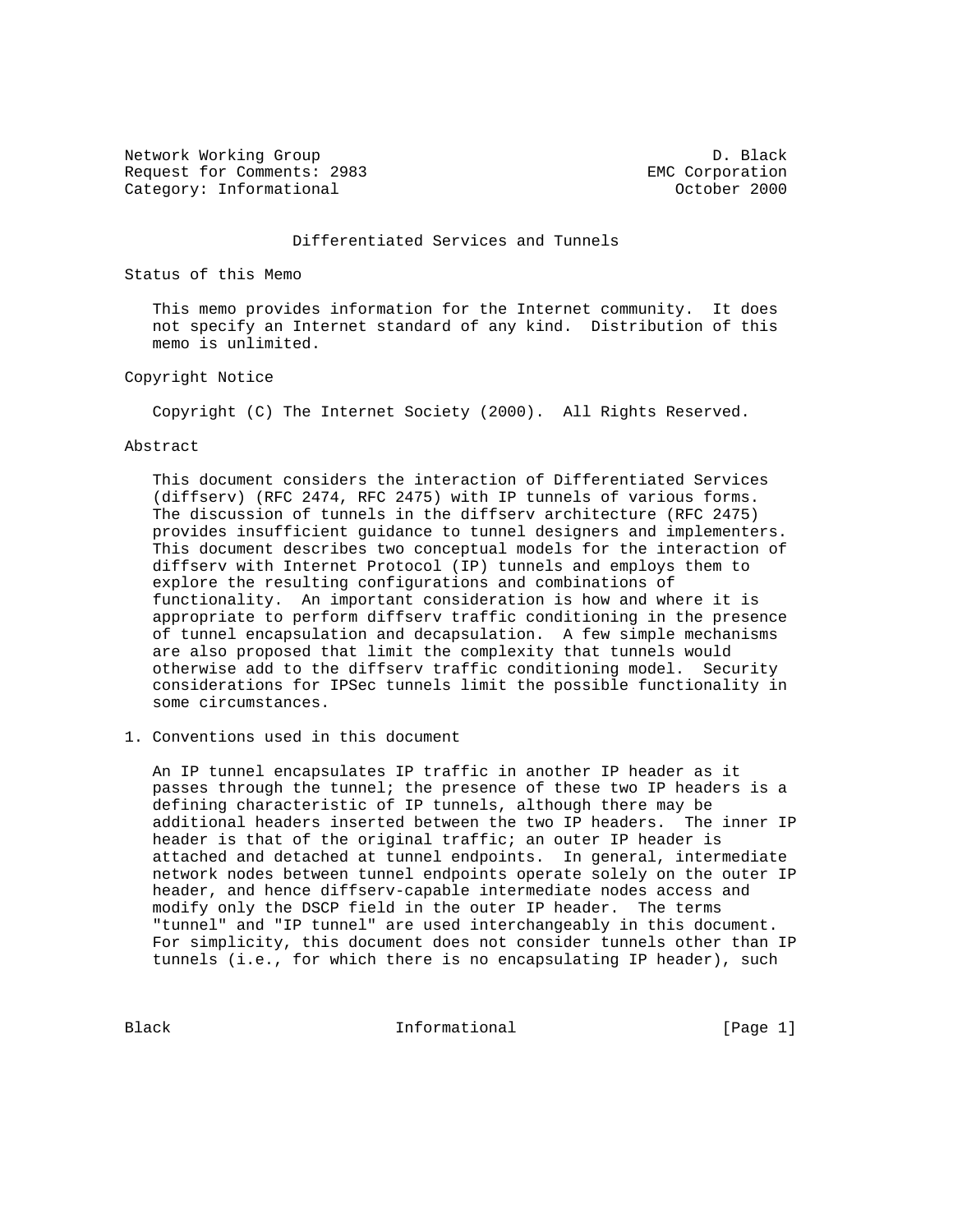Network Working Group Description of the U.S. and D. Black Request for Comments: 2983 EMC Corporation Category: Informational and Category: Informational category: October 2000

#### Differentiated Services and Tunnels

Status of this Memo

 This memo provides information for the Internet community. It does not specify an Internet standard of any kind. Distribution of this memo is unlimited.

Copyright Notice

Copyright (C) The Internet Society (2000). All Rights Reserved.

#### Abstract

 This document considers the interaction of Differentiated Services (diffserv) (RFC 2474, RFC 2475) with IP tunnels of various forms. The discussion of tunnels in the diffserv architecture (RFC 2475) provides insufficient guidance to tunnel designers and implementers. This document describes two conceptual models for the interaction of diffserv with Internet Protocol (IP) tunnels and employs them to explore the resulting configurations and combinations of functionality. An important consideration is how and where it is appropriate to perform diffserv traffic conditioning in the presence of tunnel encapsulation and decapsulation. A few simple mechanisms are also proposed that limit the complexity that tunnels would otherwise add to the diffserv traffic conditioning model. Security considerations for IPSec tunnels limit the possible functionality in some circumstances.

1. Conventions used in this document

 An IP tunnel encapsulates IP traffic in another IP header as it passes through the tunnel; the presence of these two IP headers is a defining characteristic of IP tunnels, although there may be additional headers inserted between the two IP headers. The inner IP header is that of the original traffic; an outer IP header is attached and detached at tunnel endpoints. In general, intermediate network nodes between tunnel endpoints operate solely on the outer IP header, and hence diffserv-capable intermediate nodes access and modify only the DSCP field in the outer IP header. The terms "tunnel" and "IP tunnel" are used interchangeably in this document. For simplicity, this document does not consider tunnels other than IP tunnels (i.e., for which there is no encapsulating IP header), such

Black **Informational Informational** [Page 1]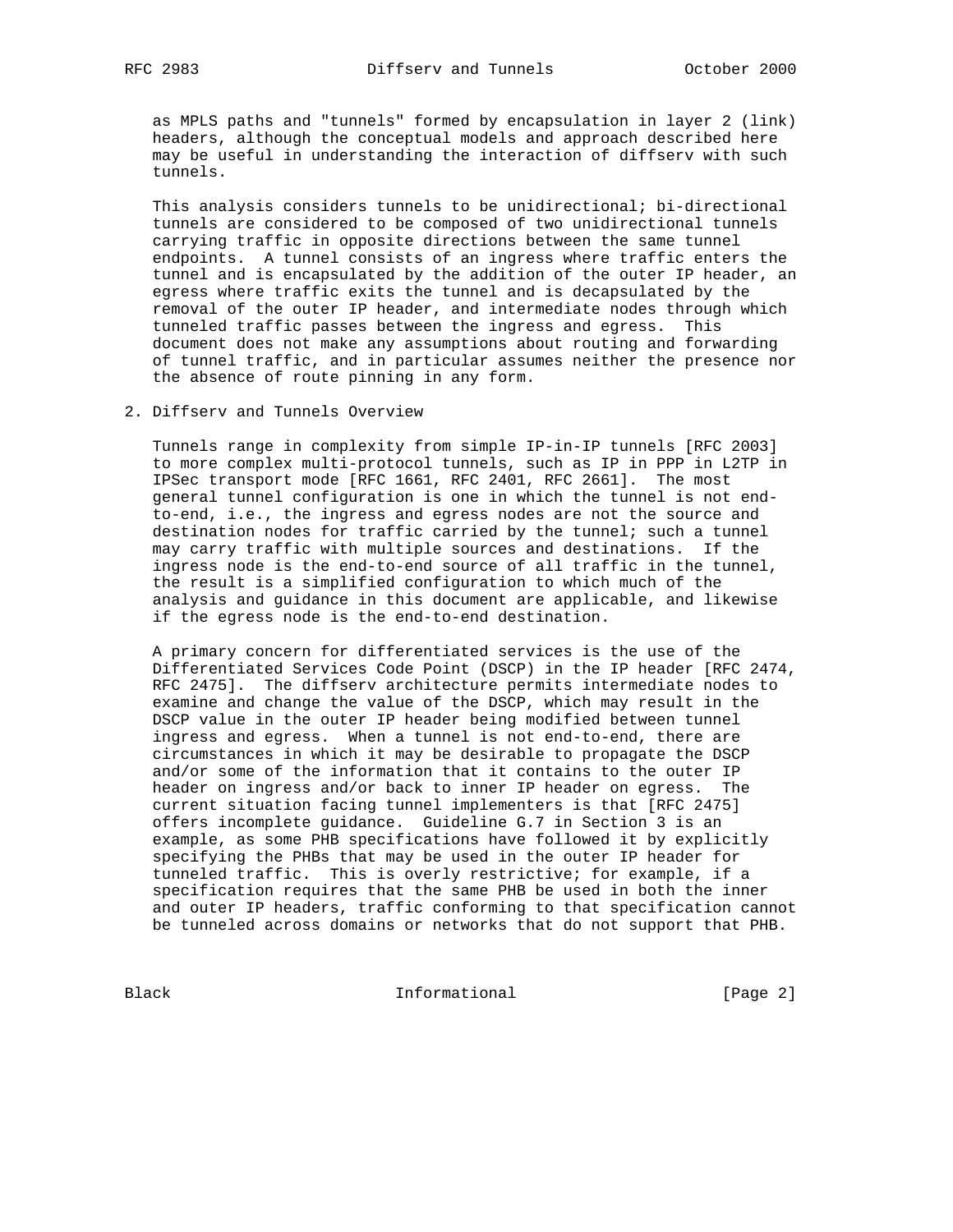as MPLS paths and "tunnels" formed by encapsulation in layer 2 (link) headers, although the conceptual models and approach described here may be useful in understanding the interaction of diffserv with such tunnels.

 This analysis considers tunnels to be unidirectional; bi-directional tunnels are considered to be composed of two unidirectional tunnels carrying traffic in opposite directions between the same tunnel endpoints. A tunnel consists of an ingress where traffic enters the tunnel and is encapsulated by the addition of the outer IP header, an egress where traffic exits the tunnel and is decapsulated by the removal of the outer IP header, and intermediate nodes through which tunneled traffic passes between the ingress and egress. This document does not make any assumptions about routing and forwarding of tunnel traffic, and in particular assumes neither the presence nor the absence of route pinning in any form.

2. Diffserv and Tunnels Overview

 Tunnels range in complexity from simple IP-in-IP tunnels [RFC 2003] to more complex multi-protocol tunnels, such as IP in PPP in L2TP in IPSec transport mode [RFC 1661, RFC 2401, RFC 2661]. The most general tunnel configuration is one in which the tunnel is not end to-end, i.e., the ingress and egress nodes are not the source and destination nodes for traffic carried by the tunnel; such a tunnel may carry traffic with multiple sources and destinations. If the ingress node is the end-to-end source of all traffic in the tunnel, the result is a simplified configuration to which much of the analysis and guidance in this document are applicable, and likewise if the egress node is the end-to-end destination.

 A primary concern for differentiated services is the use of the Differentiated Services Code Point (DSCP) in the IP header [RFC 2474, RFC 2475]. The diffserv architecture permits intermediate nodes to examine and change the value of the DSCP, which may result in the DSCP value in the outer IP header being modified between tunnel ingress and egress. When a tunnel is not end-to-end, there are circumstances in which it may be desirable to propagate the DSCP and/or some of the information that it contains to the outer IP header on ingress and/or back to inner IP header on egress. The current situation facing tunnel implementers is that [RFC 2475] offers incomplete guidance. Guideline G.7 in Section 3 is an example, as some PHB specifications have followed it by explicitly specifying the PHBs that may be used in the outer IP header for tunneled traffic. This is overly restrictive; for example, if a specification requires that the same PHB be used in both the inner and outer IP headers, traffic conforming to that specification cannot be tunneled across domains or networks that do not support that PHB.

Black Informational [Page 2]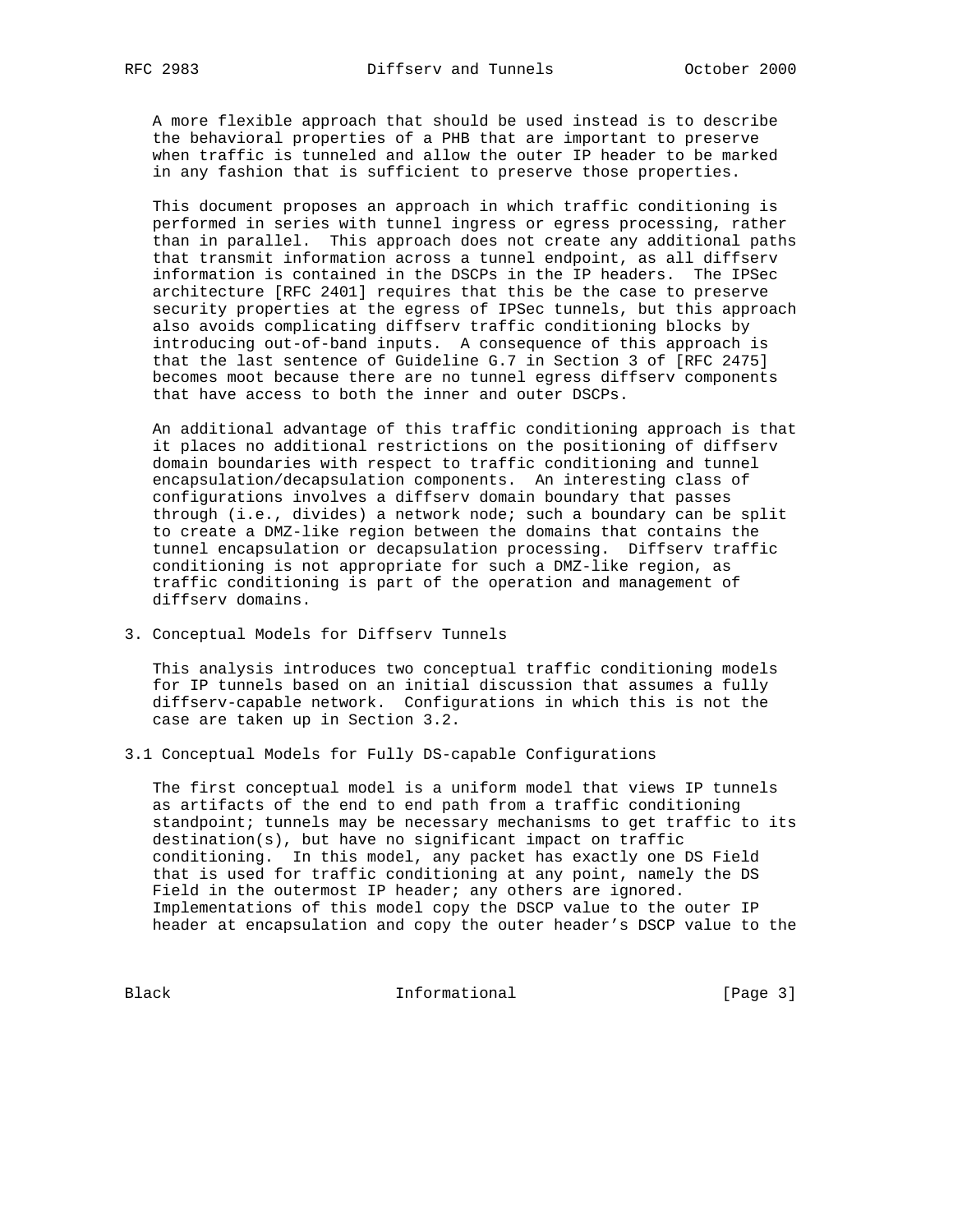A more flexible approach that should be used instead is to describe the behavioral properties of a PHB that are important to preserve when traffic is tunneled and allow the outer IP header to be marked in any fashion that is sufficient to preserve those properties.

 This document proposes an approach in which traffic conditioning is performed in series with tunnel ingress or egress processing, rather than in parallel. This approach does not create any additional paths that transmit information across a tunnel endpoint, as all diffserv information is contained in the DSCPs in the IP headers. The IPSec architecture [RFC 2401] requires that this be the case to preserve security properties at the egress of IPSec tunnels, but this approach also avoids complicating diffserv traffic conditioning blocks by introducing out-of-band inputs. A consequence of this approach is that the last sentence of Guideline G.7 in Section 3 of [RFC 2475] becomes moot because there are no tunnel egress diffserv components that have access to both the inner and outer DSCPs.

 An additional advantage of this traffic conditioning approach is that it places no additional restrictions on the positioning of diffserv domain boundaries with respect to traffic conditioning and tunnel encapsulation/decapsulation components. An interesting class of configurations involves a diffserv domain boundary that passes through (i.e., divides) a network node; such a boundary can be split to create a DMZ-like region between the domains that contains the tunnel encapsulation or decapsulation processing. Diffserv traffic conditioning is not appropriate for such a DMZ-like region, as traffic conditioning is part of the operation and management of diffserv domains.

3. Conceptual Models for Diffserv Tunnels

 This analysis introduces two conceptual traffic conditioning models for IP tunnels based on an initial discussion that assumes a fully diffserv-capable network. Configurations in which this is not the case are taken up in Section 3.2.

3.1 Conceptual Models for Fully DS-capable Configurations

 The first conceptual model is a uniform model that views IP tunnels as artifacts of the end to end path from a traffic conditioning standpoint; tunnels may be necessary mechanisms to get traffic to its destination(s), but have no significant impact on traffic conditioning. In this model, any packet has exactly one DS Field that is used for traffic conditioning at any point, namely the DS Field in the outermost IP header; any others are ignored. Implementations of this model copy the DSCP value to the outer IP header at encapsulation and copy the outer header's DSCP value to the

Black Informational [Page 3]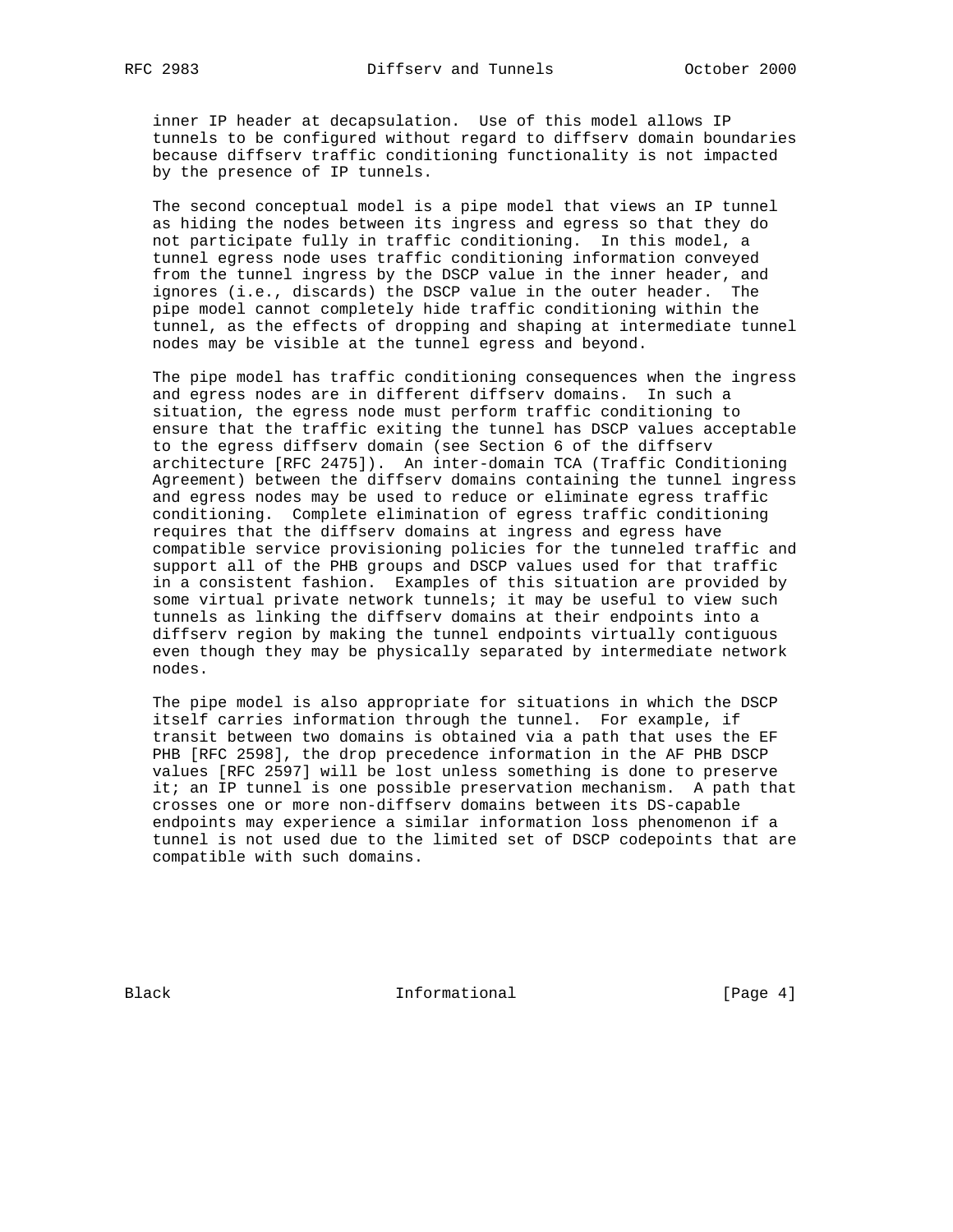inner IP header at decapsulation. Use of this model allows IP tunnels to be configured without regard to diffserv domain boundaries because diffserv traffic conditioning functionality is not impacted by the presence of IP tunnels.

 The second conceptual model is a pipe model that views an IP tunnel as hiding the nodes between its ingress and egress so that they do not participate fully in traffic conditioning. In this model, a tunnel egress node uses traffic conditioning information conveyed from the tunnel ingress by the DSCP value in the inner header, and ignores (i.e., discards) the DSCP value in the outer header. The pipe model cannot completely hide traffic conditioning within the tunnel, as the effects of dropping and shaping at intermediate tunnel nodes may be visible at the tunnel egress and beyond.

 The pipe model has traffic conditioning consequences when the ingress and egress nodes are in different diffserv domains. In such a situation, the egress node must perform traffic conditioning to ensure that the traffic exiting the tunnel has DSCP values acceptable to the egress diffserv domain (see Section 6 of the diffserv architecture [RFC 2475]). An inter-domain TCA (Traffic Conditioning Agreement) between the diffserv domains containing the tunnel ingress and egress nodes may be used to reduce or eliminate egress traffic conditioning. Complete elimination of egress traffic conditioning requires that the diffserv domains at ingress and egress have compatible service provisioning policies for the tunneled traffic and support all of the PHB groups and DSCP values used for that traffic in a consistent fashion. Examples of this situation are provided by some virtual private network tunnels; it may be useful to view such tunnels as linking the diffserv domains at their endpoints into a diffserv region by making the tunnel endpoints virtually contiguous even though they may be physically separated by intermediate network nodes.

 The pipe model is also appropriate for situations in which the DSCP itself carries information through the tunnel. For example, if transit between two domains is obtained via a path that uses the EF PHB [RFC 2598], the drop precedence information in the AF PHB DSCP values [RFC 2597] will be lost unless something is done to preserve it; an IP tunnel is one possible preservation mechanism. A path that crosses one or more non-diffserv domains between its DS-capable endpoints may experience a similar information loss phenomenon if a tunnel is not used due to the limited set of DSCP codepoints that are compatible with such domains.

Black **Informational Informational** [Page 4]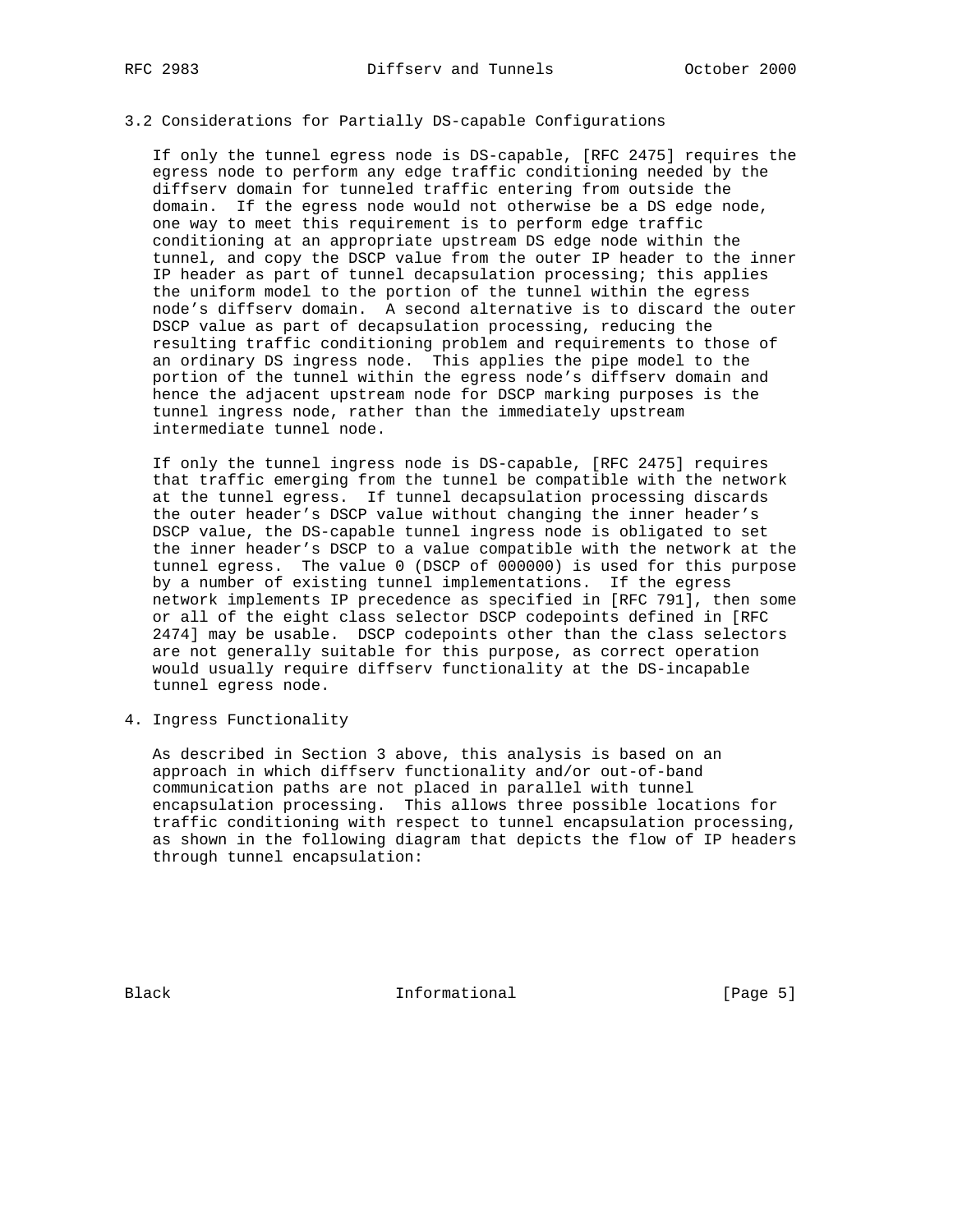# 3.2 Considerations for Partially DS-capable Configurations

 If only the tunnel egress node is DS-capable, [RFC 2475] requires the egress node to perform any edge traffic conditioning needed by the diffserv domain for tunneled traffic entering from outside the domain. If the egress node would not otherwise be a DS edge node, one way to meet this requirement is to perform edge traffic conditioning at an appropriate upstream DS edge node within the tunnel, and copy the DSCP value from the outer IP header to the inner IP header as part of tunnel decapsulation processing; this applies the uniform model to the portion of the tunnel within the egress node's diffserv domain. A second alternative is to discard the outer DSCP value as part of decapsulation processing, reducing the resulting traffic conditioning problem and requirements to those of an ordinary DS ingress node. This applies the pipe model to the portion of the tunnel within the egress node's diffserv domain and hence the adjacent upstream node for DSCP marking purposes is the tunnel ingress node, rather than the immediately upstream intermediate tunnel node.

 If only the tunnel ingress node is DS-capable, [RFC 2475] requires that traffic emerging from the tunnel be compatible with the network at the tunnel egress. If tunnel decapsulation processing discards the outer header's DSCP value without changing the inner header's DSCP value, the DS-capable tunnel ingress node is obligated to set the inner header's DSCP to a value compatible with the network at the tunnel egress. The value 0 (DSCP of 000000) is used for this purpose by a number of existing tunnel implementations. If the egress network implements IP precedence as specified in [RFC 791], then some or all of the eight class selector DSCP codepoints defined in [RFC 2474] may be usable. DSCP codepoints other than the class selectors are not generally suitable for this purpose, as correct operation would usually require diffserv functionality at the DS-incapable tunnel egress node.

4. Ingress Functionality

 As described in Section 3 above, this analysis is based on an approach in which diffserv functionality and/or out-of-band communication paths are not placed in parallel with tunnel encapsulation processing. This allows three possible locations for traffic conditioning with respect to tunnel encapsulation processing, as shown in the following diagram that depicts the flow of IP headers through tunnel encapsulation:

Black **Informational Informational** [Page 5]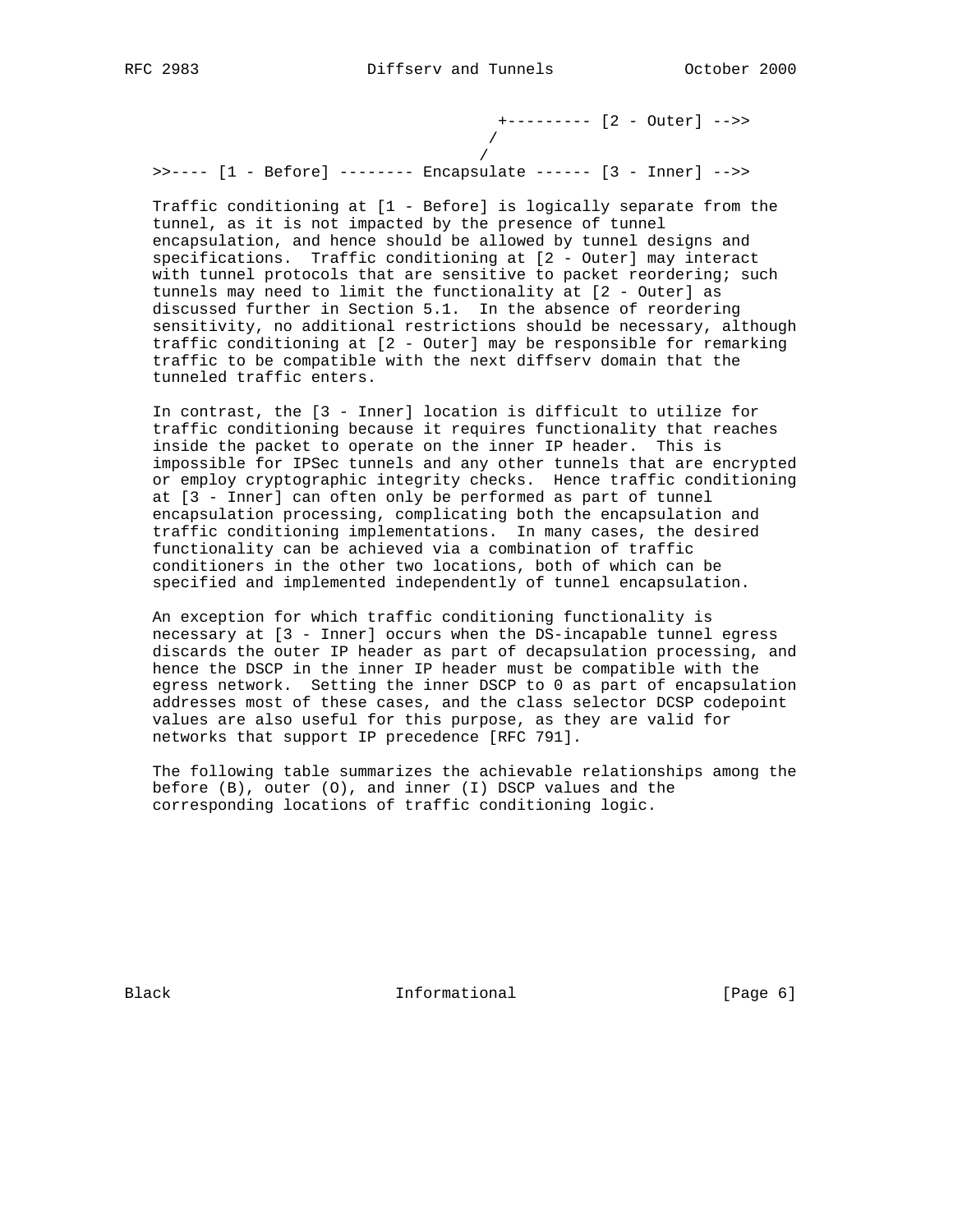+--------- [2 - Outer] -->> /

/

>>---- [1 - Before] -------- Encapsulate ------ [3 - Inner] -->>

 Traffic conditioning at [1 - Before] is logically separate from the tunnel, as it is not impacted by the presence of tunnel encapsulation, and hence should be allowed by tunnel designs and specifications. Traffic conditioning at [2 - Outer] may interact with tunnel protocols that are sensitive to packet reordering; such tunnels may need to limit the functionality at [2 - Outer] as discussed further in Section 5.1. In the absence of reordering sensitivity, no additional restrictions should be necessary, although traffic conditioning at [2 - Outer] may be responsible for remarking traffic to be compatible with the next diffserv domain that the tunneled traffic enters.

 In contrast, the [3 - Inner] location is difficult to utilize for traffic conditioning because it requires functionality that reaches inside the packet to operate on the inner IP header. This is impossible for IPSec tunnels and any other tunnels that are encrypted or employ cryptographic integrity checks. Hence traffic conditioning at [3 - Inner] can often only be performed as part of tunnel encapsulation processing, complicating both the encapsulation and traffic conditioning implementations. In many cases, the desired functionality can be achieved via a combination of traffic conditioners in the other two locations, both of which can be specified and implemented independently of tunnel encapsulation.

 An exception for which traffic conditioning functionality is necessary at [3 - Inner] occurs when the DS-incapable tunnel egress discards the outer IP header as part of decapsulation processing, and hence the DSCP in the inner IP header must be compatible with the egress network. Setting the inner DSCP to 0 as part of encapsulation addresses most of these cases, and the class selector DCSP codepoint values are also useful for this purpose, as they are valid for networks that support IP precedence [RFC 791].

 The following table summarizes the achievable relationships among the before (B), outer (O), and inner (I) DSCP values and the corresponding locations of traffic conditioning logic.

Black **Informational Informational** [Page 6]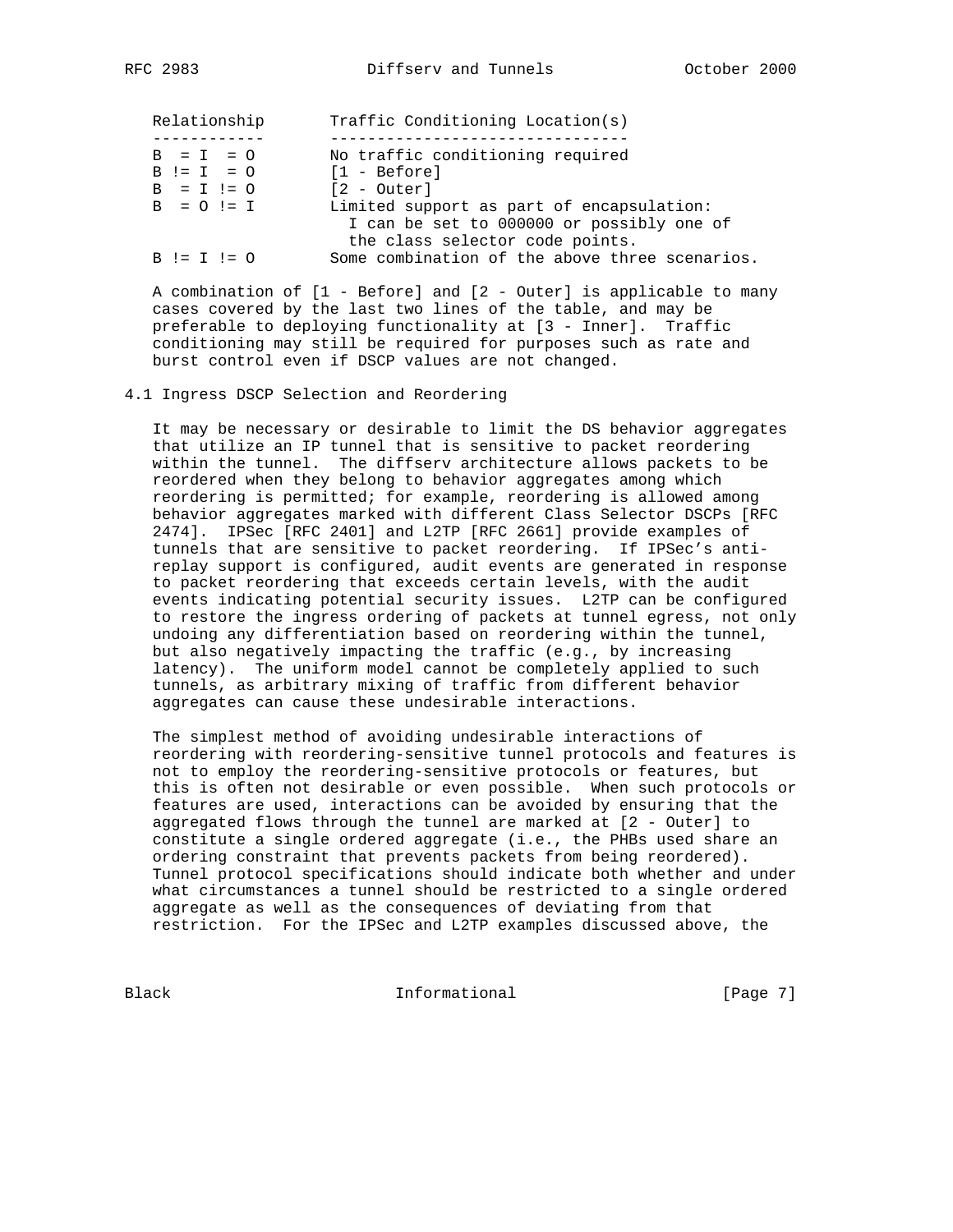| Relationship  | Traffic Conditioning Location(s)               |
|---------------|------------------------------------------------|
|               |                                                |
| $B = I = 0$   | No traffic conditioning required               |
| $B := I = 0$  | $[1 - Before]$                                 |
| $B = I ! = 0$ | [2 - Outer]                                    |
| $B = 0 != I$  | Limited support as part of encapsulation:      |
|               | I can be set to 000000 or possibly one of      |
|               | the class selector code points.                |
| $B := I := 0$ | Some combination of the above three scenarios. |

 A combination of [1 - Before] and [2 - Outer] is applicable to many cases covered by the last two lines of the table, and may be preferable to deploying functionality at [3 - Inner]. Traffic conditioning may still be required for purposes such as rate and burst control even if DSCP values are not changed.

#### 4.1 Ingress DSCP Selection and Reordering

 It may be necessary or desirable to limit the DS behavior aggregates that utilize an IP tunnel that is sensitive to packet reordering within the tunnel. The diffserv architecture allows packets to be reordered when they belong to behavior aggregates among which reordering is permitted; for example, reordering is allowed among behavior aggregates marked with different Class Selector DSCPs [RFC 2474]. IPSec [RFC 2401] and L2TP [RFC 2661] provide examples of tunnels that are sensitive to packet reordering. If IPSec's anti replay support is configured, audit events are generated in response to packet reordering that exceeds certain levels, with the audit events indicating potential security issues. L2TP can be configured to restore the ingress ordering of packets at tunnel egress, not only undoing any differentiation based on reordering within the tunnel, but also negatively impacting the traffic (e.g., by increasing latency). The uniform model cannot be completely applied to such tunnels, as arbitrary mixing of traffic from different behavior aggregates can cause these undesirable interactions.

 The simplest method of avoiding undesirable interactions of reordering with reordering-sensitive tunnel protocols and features is not to employ the reordering-sensitive protocols or features, but this is often not desirable or even possible. When such protocols or features are used, interactions can be avoided by ensuring that the aggregated flows through the tunnel are marked at [2 - Outer] to constitute a single ordered aggregate (i.e., the PHBs used share an ordering constraint that prevents packets from being reordered). Tunnel protocol specifications should indicate both whether and under what circumstances a tunnel should be restricted to a single ordered aggregate as well as the consequences of deviating from that restriction. For the IPSec and L2TP examples discussed above, the

Black **Informational Informational** [Page 7]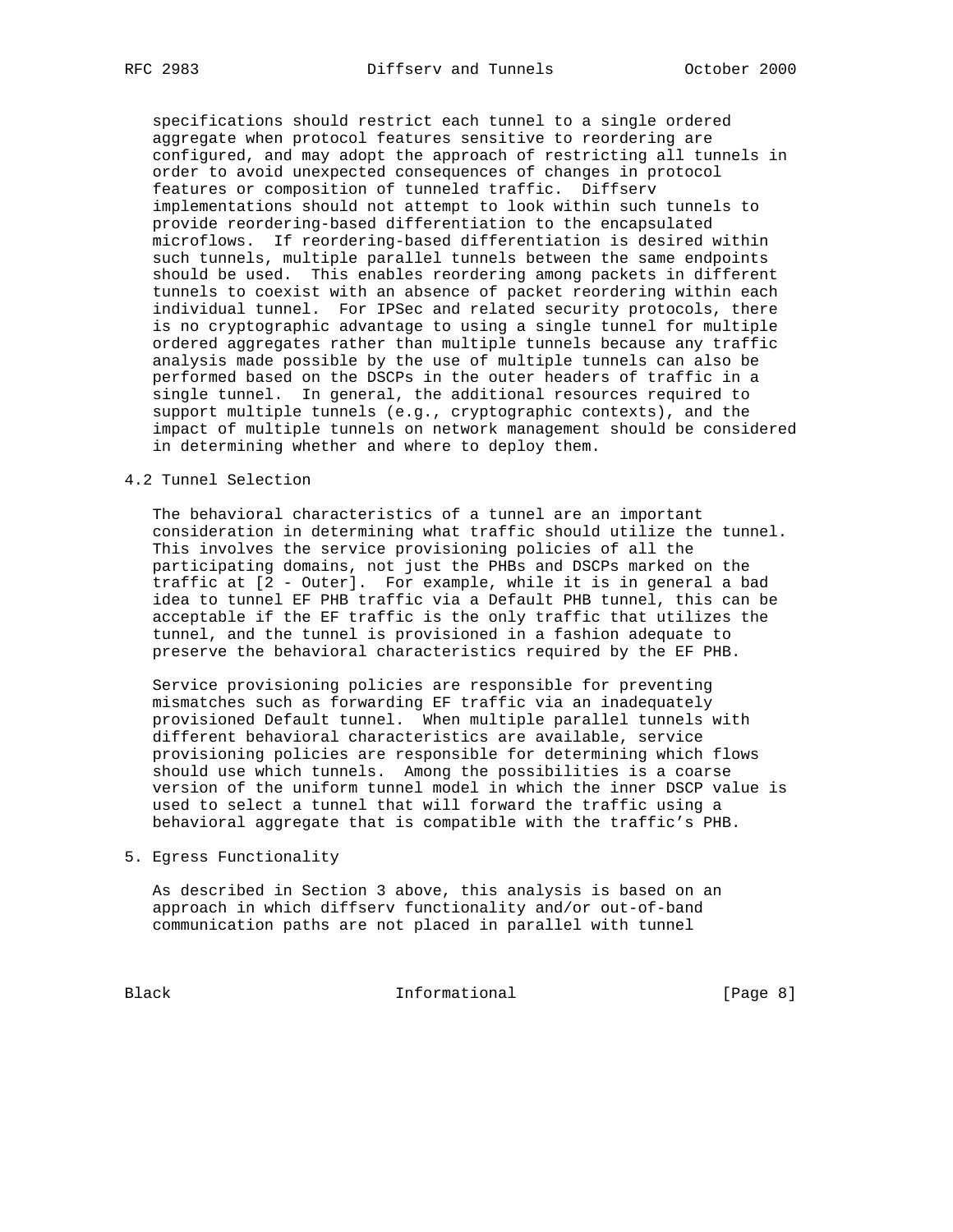specifications should restrict each tunnel to a single ordered aggregate when protocol features sensitive to reordering are configured, and may adopt the approach of restricting all tunnels in order to avoid unexpected consequences of changes in protocol features or composition of tunneled traffic. Diffserv implementations should not attempt to look within such tunnels to provide reordering-based differentiation to the encapsulated microflows. If reordering-based differentiation is desired within such tunnels, multiple parallel tunnels between the same endpoints should be used. This enables reordering among packets in different tunnels to coexist with an absence of packet reordering within each individual tunnel. For IPSec and related security protocols, there is no cryptographic advantage to using a single tunnel for multiple ordered aggregates rather than multiple tunnels because any traffic analysis made possible by the use of multiple tunnels can also be performed based on the DSCPs in the outer headers of traffic in a single tunnel. In general, the additional resources required to support multiple tunnels (e.g., cryptographic contexts), and the impact of multiple tunnels on network management should be considered in determining whether and where to deploy them.

## 4.2 Tunnel Selection

 The behavioral characteristics of a tunnel are an important consideration in determining what traffic should utilize the tunnel. This involves the service provisioning policies of all the participating domains, not just the PHBs and DSCPs marked on the traffic at [2 - Outer]. For example, while it is in general a bad idea to tunnel EF PHB traffic via a Default PHB tunnel, this can be acceptable if the EF traffic is the only traffic that utilizes the tunnel, and the tunnel is provisioned in a fashion adequate to preserve the behavioral characteristics required by the EF PHB.

 Service provisioning policies are responsible for preventing mismatches such as forwarding EF traffic via an inadequately provisioned Default tunnel. When multiple parallel tunnels with different behavioral characteristics are available, service provisioning policies are responsible for determining which flows should use which tunnels. Among the possibilities is a coarse version of the uniform tunnel model in which the inner DSCP value is used to select a tunnel that will forward the traffic using a behavioral aggregate that is compatible with the traffic's PHB.

5. Egress Functionality

 As described in Section 3 above, this analysis is based on an approach in which diffserv functionality and/or out-of-band communication paths are not placed in parallel with tunnel

Black **Informational Informational** [Page 8]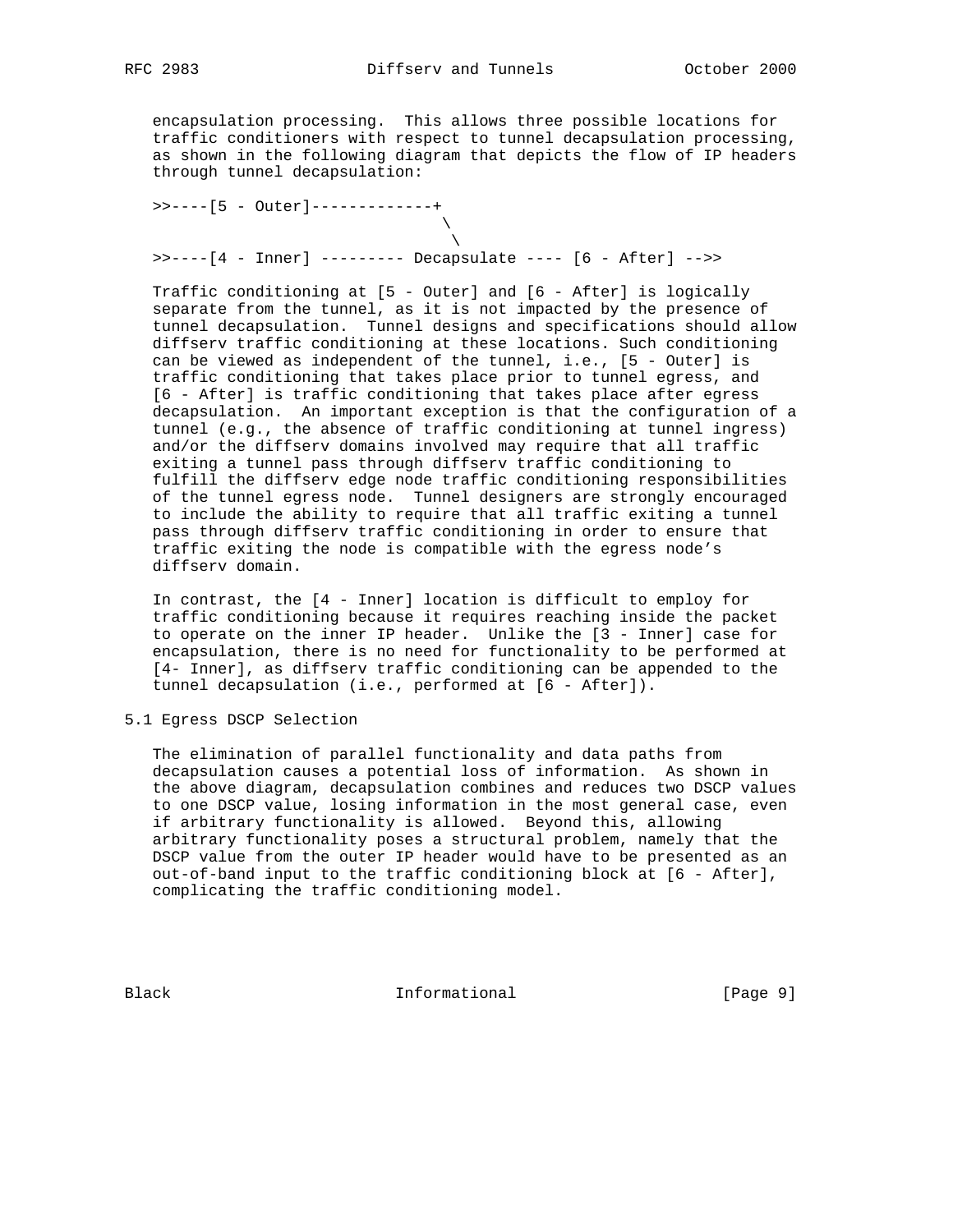encapsulation processing. This allows three possible locations for traffic conditioners with respect to tunnel decapsulation processing, as shown in the following diagram that depicts the flow of IP headers through tunnel decapsulation:

 >>----[5 - Outer]-------------+  $\mathcal{N}$  and  $\mathcal{N}$  are the set of  $\mathcal{N}$  $\mathcal{N}$  and  $\mathcal{N}$  are the set of  $\mathcal{N}$ >>----[4 - Inner] --------- Decapsulate ---- [6 - After] -->>

 Traffic conditioning at [5 - Outer] and [6 - After] is logically separate from the tunnel, as it is not impacted by the presence of tunnel decapsulation. Tunnel designs and specifications should allow diffserv traffic conditioning at these locations. Such conditioning can be viewed as independent of the tunnel, i.e., [5 - Outer] is traffic conditioning that takes place prior to tunnel egress, and [6 - After] is traffic conditioning that takes place after egress decapsulation. An important exception is that the configuration of a tunnel (e.g., the absence of traffic conditioning at tunnel ingress) and/or the diffserv domains involved may require that all traffic exiting a tunnel pass through diffserv traffic conditioning to fulfill the diffserv edge node traffic conditioning responsibilities of the tunnel egress node. Tunnel designers are strongly encouraged to include the ability to require that all traffic exiting a tunnel pass through diffserv traffic conditioning in order to ensure that traffic exiting the node is compatible with the egress node's diffserv domain.

 In contrast, the [4 - Inner] location is difficult to employ for traffic conditioning because it requires reaching inside the packet to operate on the inner IP header. Unlike the [3 - Inner] case for encapsulation, there is no need for functionality to be performed at [4- Inner], as diffserv traffic conditioning can be appended to the tunnel decapsulation (i.e., performed at [6 - After]).

5.1 Egress DSCP Selection

 The elimination of parallel functionality and data paths from decapsulation causes a potential loss of information. As shown in the above diagram, decapsulation combines and reduces two DSCP values to one DSCP value, losing information in the most general case, even if arbitrary functionality is allowed. Beyond this, allowing arbitrary functionality poses a structural problem, namely that the DSCP value from the outer IP header would have to be presented as an out-of-band input to the traffic conditioning block at [6 - After], complicating the traffic conditioning model.

Black **Informational Informational** [Page 9]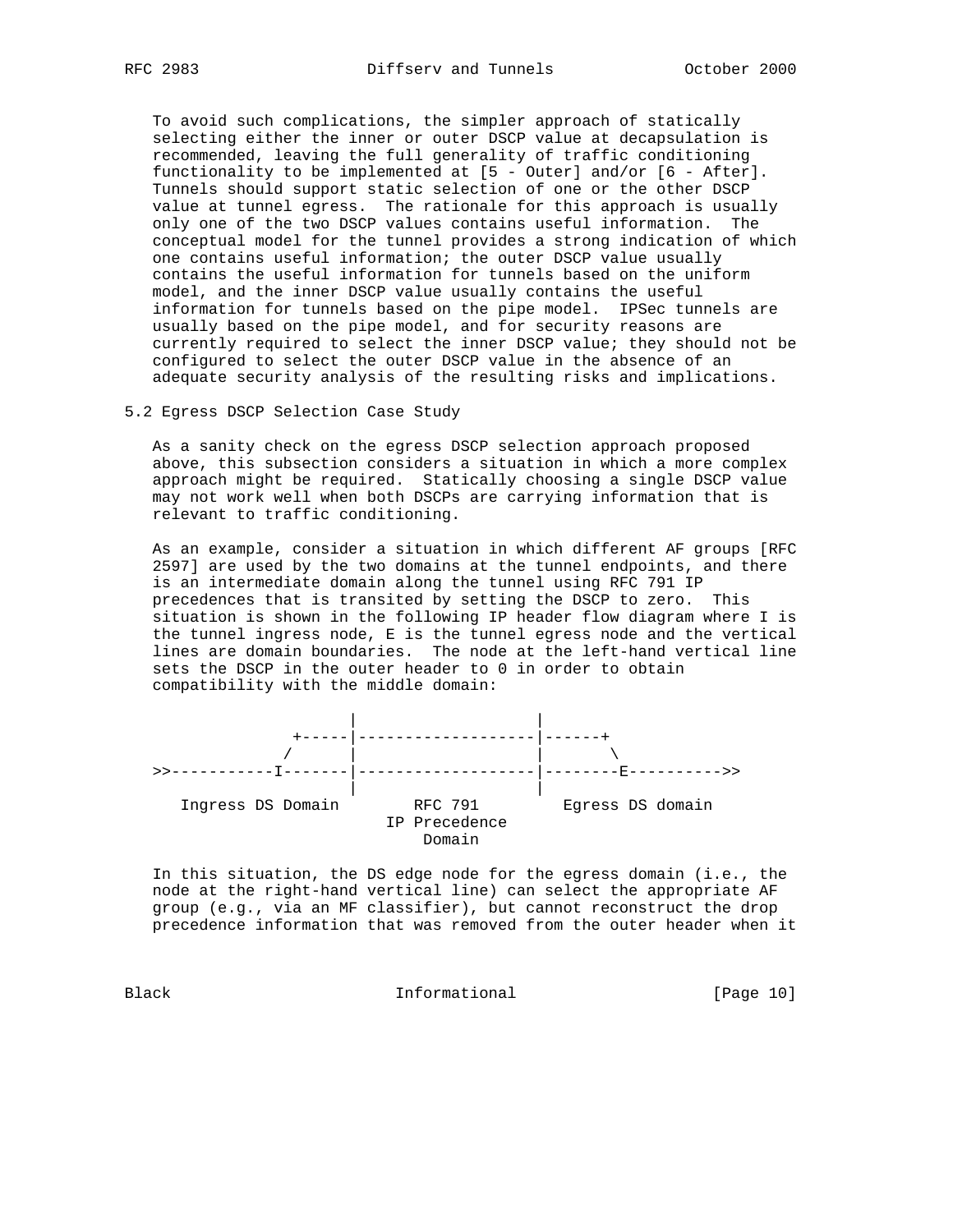To avoid such complications, the simpler approach of statically selecting either the inner or outer DSCP value at decapsulation is recommended, leaving the full generality of traffic conditioning functionality to be implemented at [5 - Outer] and/or [6 - After]. Tunnels should support static selection of one or the other DSCP value at tunnel egress. The rationale for this approach is usually only one of the two DSCP values contains useful information. The conceptual model for the tunnel provides a strong indication of which one contains useful information; the outer DSCP value usually contains the useful information for tunnels based on the uniform model, and the inner DSCP value usually contains the useful information for tunnels based on the pipe model. IPSec tunnels are usually based on the pipe model, and for security reasons are currently required to select the inner DSCP value; they should not be configured to select the outer DSCP value in the absence of an adequate security analysis of the resulting risks and implications.

5.2 Egress DSCP Selection Case Study

 As a sanity check on the egress DSCP selection approach proposed above, this subsection considers a situation in which a more complex approach might be required. Statically choosing a single DSCP value may not work well when both DSCPs are carrying information that is relevant to traffic conditioning.

 As an example, consider a situation in which different AF groups [RFC 2597] are used by the two domains at the tunnel endpoints, and there is an intermediate domain along the tunnel using RFC 791 IP precedences that is transited by setting the DSCP to zero. This situation is shown in the following IP header flow diagram where I is the tunnel ingress node, E is the tunnel egress node and the vertical lines are domain boundaries. The node at the left-hand vertical line sets the DSCP in the outer header to 0 in order to obtain compatibility with the middle domain:



 In this situation, the DS edge node for the egress domain (i.e., the node at the right-hand vertical line) can select the appropriate AF group (e.g., via an MF classifier), but cannot reconstruct the drop precedence information that was removed from the outer header when it

Black Informational [Page 10]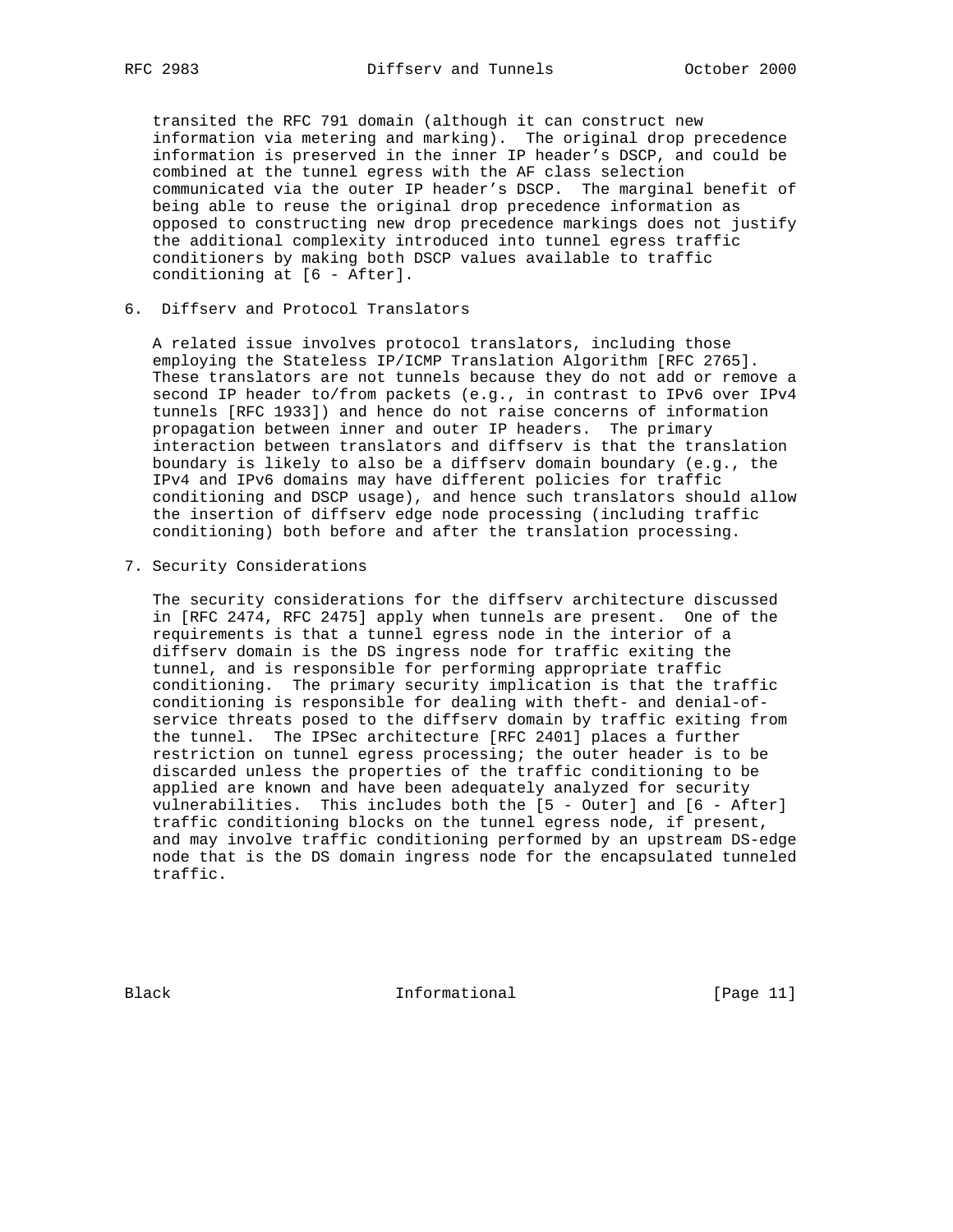transited the RFC 791 domain (although it can construct new information via metering and marking). The original drop precedence information is preserved in the inner IP header's DSCP, and could be combined at the tunnel egress with the AF class selection communicated via the outer IP header's DSCP. The marginal benefit of being able to reuse the original drop precedence information as opposed to constructing new drop precedence markings does not justify the additional complexity introduced into tunnel egress traffic conditioners by making both DSCP values available to traffic conditioning at [6 - After].

## 6. Diffserv and Protocol Translators

 A related issue involves protocol translators, including those employing the Stateless IP/ICMP Translation Algorithm [RFC 2765]. These translators are not tunnels because they do not add or remove a second IP header to/from packets (e.g., in contrast to IPv6 over IPv4 tunnels [RFC 1933]) and hence do not raise concerns of information propagation between inner and outer IP headers. The primary interaction between translators and diffserv is that the translation boundary is likely to also be a diffserv domain boundary (e.g., the IPv4 and IPv6 domains may have different policies for traffic conditioning and DSCP usage), and hence such translators should allow the insertion of diffserv edge node processing (including traffic conditioning) both before and after the translation processing.

7. Security Considerations

 The security considerations for the diffserv architecture discussed in [RFC 2474, RFC 2475] apply when tunnels are present. One of the requirements is that a tunnel egress node in the interior of a diffserv domain is the DS ingress node for traffic exiting the tunnel, and is responsible for performing appropriate traffic conditioning. The primary security implication is that the traffic conditioning is responsible for dealing with theft- and denial-of service threats posed to the diffserv domain by traffic exiting from the tunnel. The IPSec architecture [RFC 2401] places a further restriction on tunnel egress processing; the outer header is to be discarded unless the properties of the traffic conditioning to be applied are known and have been adequately analyzed for security vulnerabilities. This includes both the [5 - Outer] and [6 - After] traffic conditioning blocks on the tunnel egress node, if present, and may involve traffic conditioning performed by an upstream DS-edge node that is the DS domain ingress node for the encapsulated tunneled traffic.

Black **Informational Informational** [Page 11]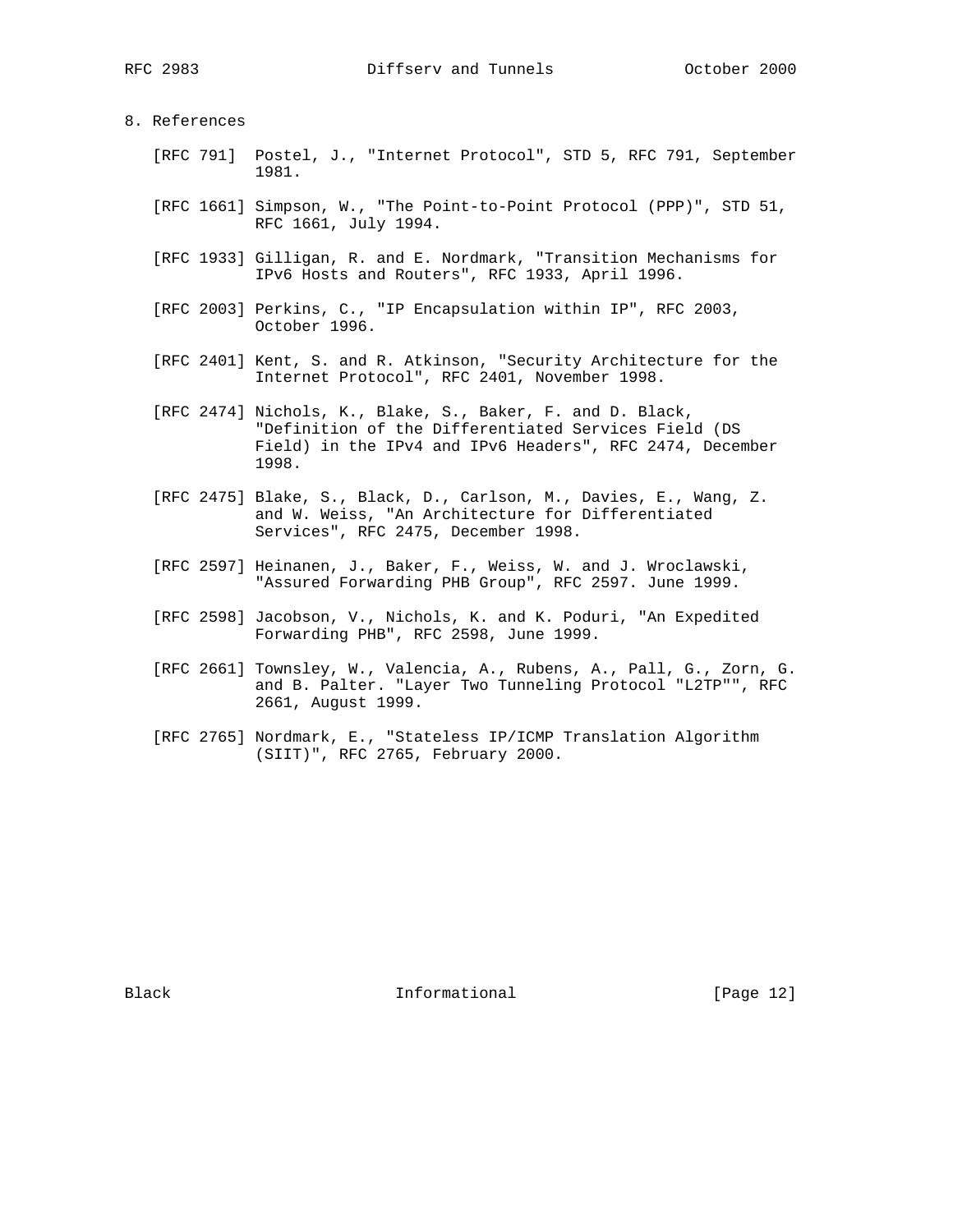## 8. References

- [RFC 791] Postel, J., "Internet Protocol", STD 5, RFC 791, September 1981.
- [RFC 1661] Simpson, W., "The Point-to-Point Protocol (PPP)", STD 51, RFC 1661, July 1994.
- [RFC 1933] Gilligan, R. and E. Nordmark, "Transition Mechanisms for IPv6 Hosts and Routers", RFC 1933, April 1996.
- [RFC 2003] Perkins, C., "IP Encapsulation within IP", RFC 2003, October 1996.
- [RFC 2401] Kent, S. and R. Atkinson, "Security Architecture for the Internet Protocol", RFC 2401, November 1998.
- [RFC 2474] Nichols, K., Blake, S., Baker, F. and D. Black, "Definition of the Differentiated Services Field (DS Field) in the IPv4 and IPv6 Headers", RFC 2474, December 1998.
- [RFC 2475] Blake, S., Black, D., Carlson, M., Davies, E., Wang, Z. and W. Weiss, "An Architecture for Differentiated Services", RFC 2475, December 1998.
- [RFC 2597] Heinanen, J., Baker, F., Weiss, W. and J. Wroclawski, "Assured Forwarding PHB Group", RFC 2597. June 1999.
- [RFC 2598] Jacobson, V., Nichols, K. and K. Poduri, "An Expedited Forwarding PHB", RFC 2598, June 1999.
- [RFC 2661] Townsley, W., Valencia, A., Rubens, A., Pall, G., Zorn, G. and B. Palter. "Layer Two Tunneling Protocol "L2TP"", RFC 2661, August 1999.
- [RFC 2765] Nordmark, E., "Stateless IP/ICMP Translation Algorithm (SIIT)", RFC 2765, February 2000.

Black **Informational Informational** [Page 12]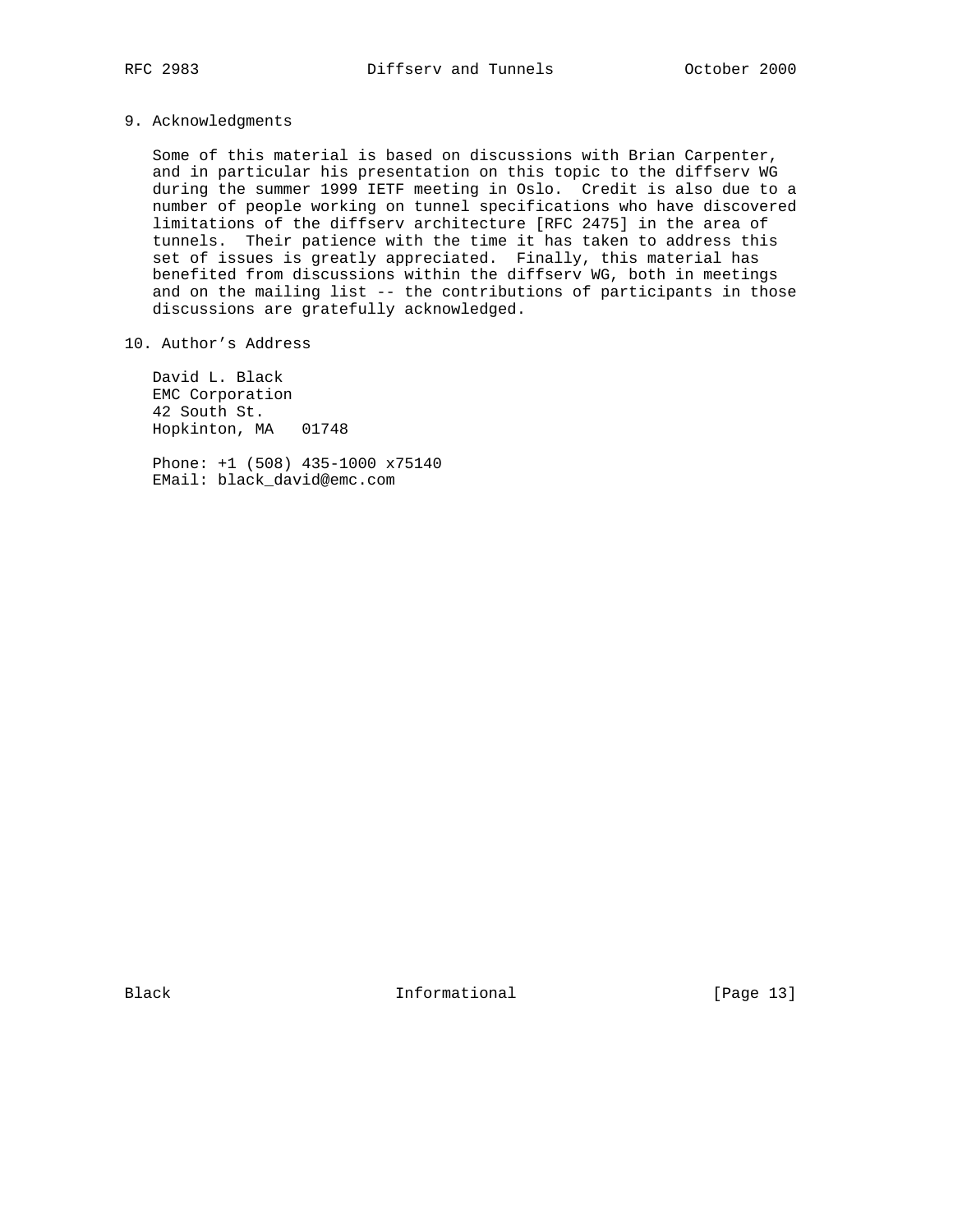9. Acknowledgments

 Some of this material is based on discussions with Brian Carpenter, and in particular his presentation on this topic to the diffserv WG during the summer 1999 IETF meeting in Oslo. Credit is also due to a number of people working on tunnel specifications who have discovered limitations of the diffserv architecture [RFC 2475] in the area of tunnels. Their patience with the time it has taken to address this set of issues is greatly appreciated. Finally, this material has benefited from discussions within the diffserv WG, both in meetings and on the mailing list -- the contributions of participants in those discussions are gratefully acknowledged.

10. Author's Address

 David L. Black EMC Corporation 42 South St. Hopkinton, MA 01748

 Phone: +1 (508) 435-1000 x75140 EMail: black\_david@emc.com

Black **Informational Informational** [Page 13]